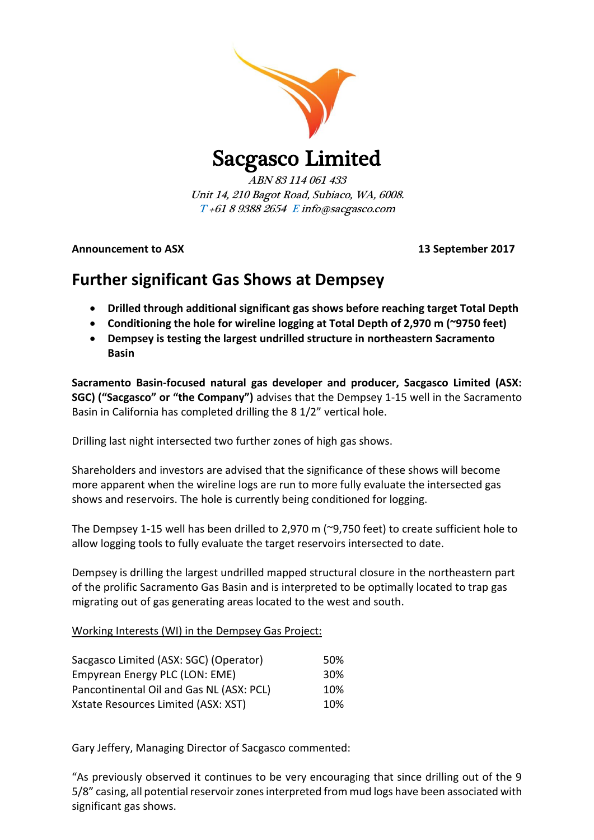

Sacgasco Limited

ABN 83 114 061 433 Unit 14, 210 Bagot Road, Subiaco, WA, 6008. T +61 8 9388 2654 E info@sacgasco.com

**Announcement to ASX 13 September 2017**

# **Further significant Gas Shows at Dempsey**

- **Drilled through additional significant gas shows before reaching target Total Depth**
- **Conditioning the hole for wireline logging at Total Depth of 2,970 m (~9750 feet)**
- **Dempsey is testing the largest undrilled structure in northeastern Sacramento Basin**

**Sacramento Basin-focused natural gas developer and producer, Sacgasco Limited (ASX: SGC) ("Sacgasco" or "the Company")** advises that the Dempsey 1-15 well in the Sacramento Basin in California has completed drilling the 8 1/2" vertical hole.

Drilling last night intersected two further zones of high gas shows.

Shareholders and investors are advised that the significance of these shows will become more apparent when the wireline logs are run to more fully evaluate the intersected gas shows and reservoirs. The hole is currently being conditioned for logging.

The Dempsey 1-15 well has been drilled to 2,970 m (~9,750 feet) to create sufficient hole to allow logging tools to fully evaluate the target reservoirs intersected to date.

Dempsey is drilling the largest undrilled mapped structural closure in the northeastern part of the prolific Sacramento Gas Basin and is interpreted to be optimally located to trap gas migrating out of gas generating areas located to the west and south.

# Working Interests (WI) in the Dempsey Gas Project:

| Sacgasco Limited (ASX: SGC) (Operator)   | .50% |
|------------------------------------------|------|
| Empyrean Energy PLC (LON: EME)           | 30%  |
| Pancontinental Oil and Gas NL (ASX: PCL) | 10%  |
| Xstate Resources Limited (ASX: XST)      | 10%  |

Gary Jeffery, Managing Director of Sacgasco commented:

"As previously observed it continues to be very encouraging that since drilling out of the 9 5/8" casing, all potential reservoir zonesinterpreted from mud logs have been associated with significant gas shows.